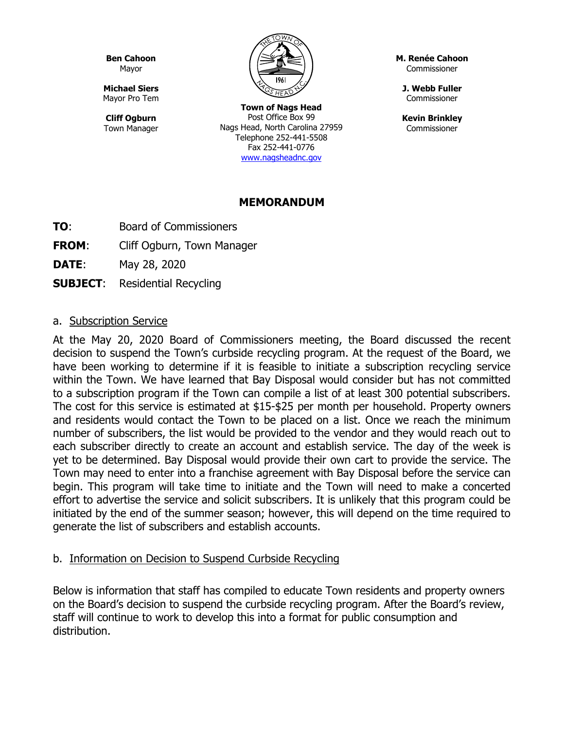**Ben Cahoon** Mayor

**Michael Siers** Mayor Pro Tem

**Cliff Ogburn** Town Manager

**Town of Nags Head** Post Office Box 99 Nags Head, North Carolina 27959 Telephone 252-441-5508 Fax 252-441-0776 [www.nagsheadnc.gov](http://www.nagsheadnc.gov/)

**M. Renée Cahoon** Commissioner

**J. Webb Fuller** Commissioner

**Kevin Brinkley** Commissioner

### **MEMORANDUM**

- **TO**: Board of Commissioners
- **FROM:** Cliff Ogburn, Town Manager

**DATE**: May 28, 2020

**SUBJECT**: Residential Recycling

### a. Subscription Service

At the May 20, 2020 Board of Commissioners meeting, the Board discussed the recent decision to suspend the Town's curbside recycling program. At the request of the Board, we have been working to determine if it is feasible to initiate a subscription recycling service within the Town. We have learned that Bay Disposal would consider but has not committed to a subscription program if the Town can compile a list of at least 300 potential subscribers. The cost for this service is estimated at \$15-\$25 per month per household. Property owners and residents would contact the Town to be placed on a list. Once we reach the minimum number of subscribers, the list would be provided to the vendor and they would reach out to each subscriber directly to create an account and establish service. The day of the week is yet to be determined. Bay Disposal would provide their own cart to provide the service. The Town may need to enter into a franchise agreement with Bay Disposal before the service can begin. This program will take time to initiate and the Town will need to make a concerted effort to advertise the service and solicit subscribers. It is unlikely that this program could be initiated by the end of the summer season; however, this will depend on the time required to generate the list of subscribers and establish accounts.

### b. Information on Decision to Suspend Curbside Recycling

Below is information that staff has compiled to educate Town residents and property owners on the Board's decision to suspend the curbside recycling program. After the Board's review, staff will continue to work to develop this into a format for public consumption and distribution.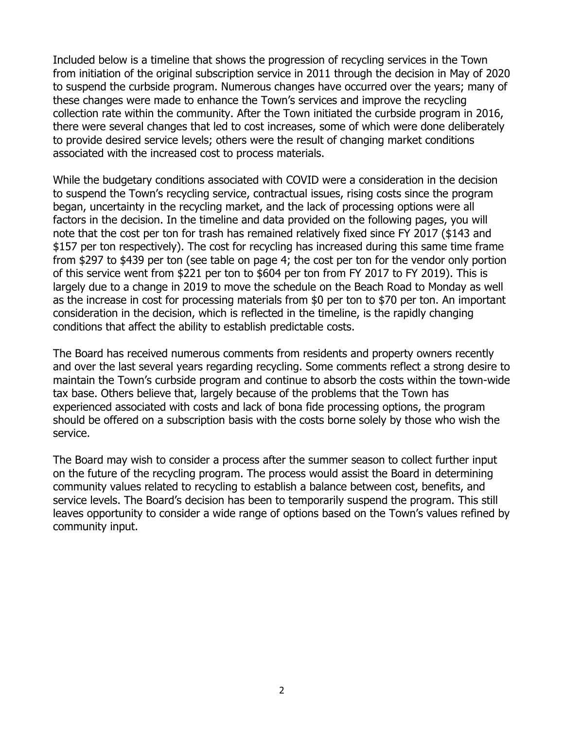Included below is a timeline that shows the progression of recycling services in the Town from initiation of the original subscription service in 2011 through the decision in May of 2020 to suspend the curbside program. Numerous changes have occurred over the years; many of these changes were made to enhance the Town's services and improve the recycling collection rate within the community. After the Town initiated the curbside program in 2016, there were several changes that led to cost increases, some of which were done deliberately to provide desired service levels; others were the result of changing market conditions associated with the increased cost to process materials.

While the budgetary conditions associated with COVID were a consideration in the decision to suspend the Town's recycling service, contractual issues, rising costs since the program began, uncertainty in the recycling market, and the lack of processing options were all factors in the decision. In the timeline and data provided on the following pages, you will note that the cost per ton for trash has remained relatively fixed since FY 2017 (\$143 and \$157 per ton respectively). The cost for recycling has increased during this same time frame from \$297 to \$439 per ton (see table on page 4; the cost per ton for the vendor only portion of this service went from \$221 per ton to \$604 per ton from FY 2017 to FY 2019). This is largely due to a change in 2019 to move the schedule on the Beach Road to Monday as well as the increase in cost for processing materials from \$0 per ton to \$70 per ton. An important consideration in the decision, which is reflected in the timeline, is the rapidly changing conditions that affect the ability to establish predictable costs.

The Board has received numerous comments from residents and property owners recently and over the last several years regarding recycling. Some comments reflect a strong desire to maintain the Town's curbside program and continue to absorb the costs within the town-wide tax base. Others believe that, largely because of the problems that the Town has experienced associated with costs and lack of bona fide processing options, the program should be offered on a subscription basis with the costs borne solely by those who wish the service.

The Board may wish to consider a process after the summer season to collect further input on the future of the recycling program. The process would assist the Board in determining community values related to recycling to establish a balance between cost, benefits, and service levels. The Board's decision has been to temporarily suspend the program. This still leaves opportunity to consider a wide range of options based on the Town's values refined by community input.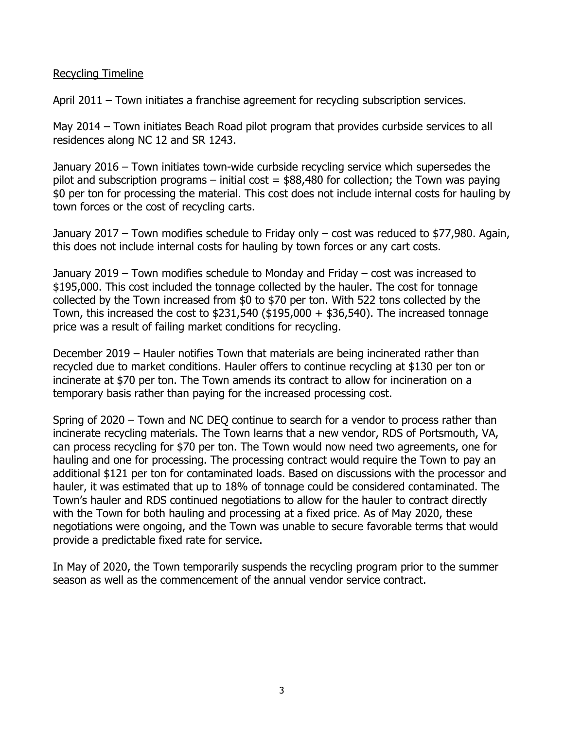#### Recycling Timeline

April 2011 – Town initiates a franchise agreement for recycling subscription services.

May 2014 – Town initiates Beach Road pilot program that provides curbside services to all residences along NC 12 and SR 1243.

January 2016 – Town initiates town-wide curbside recycling service which supersedes the pilot and subscription programs – initial cost  $=$  \$88,480 for collection; the Town was paying \$0 per ton for processing the material. This cost does not include internal costs for hauling by town forces or the cost of recycling carts.

January 2017 – Town modifies schedule to Friday only – cost was reduced to \$77,980. Again, this does not include internal costs for hauling by town forces or any cart costs.

January 2019 – Town modifies schedule to Monday and Friday – cost was increased to \$195,000. This cost included the tonnage collected by the hauler. The cost for tonnage collected by the Town increased from \$0 to \$70 per ton. With 522 tons collected by the Town, this increased the cost to  $$231,540$  ( $$195,000 + $36,540$ ). The increased tonnage price was a result of failing market conditions for recycling.

December 2019 – Hauler notifies Town that materials are being incinerated rather than recycled due to market conditions. Hauler offers to continue recycling at \$130 per ton or incinerate at \$70 per ton. The Town amends its contract to allow for incineration on a temporary basis rather than paying for the increased processing cost.

Spring of 2020 – Town and NC DEQ continue to search for a vendor to process rather than incinerate recycling materials. The Town learns that a new vendor, RDS of Portsmouth, VA, can process recycling for \$70 per ton. The Town would now need two agreements, one for hauling and one for processing. The processing contract would require the Town to pay an additional \$121 per ton for contaminated loads. Based on discussions with the processor and hauler, it was estimated that up to 18% of tonnage could be considered contaminated. The Town's hauler and RDS continued negotiations to allow for the hauler to contract directly with the Town for both hauling and processing at a fixed price. As of May 2020, these negotiations were ongoing, and the Town was unable to secure favorable terms that would provide a predictable fixed rate for service.

In May of 2020, the Town temporarily suspends the recycling program prior to the summer season as well as the commencement of the annual vendor service contract.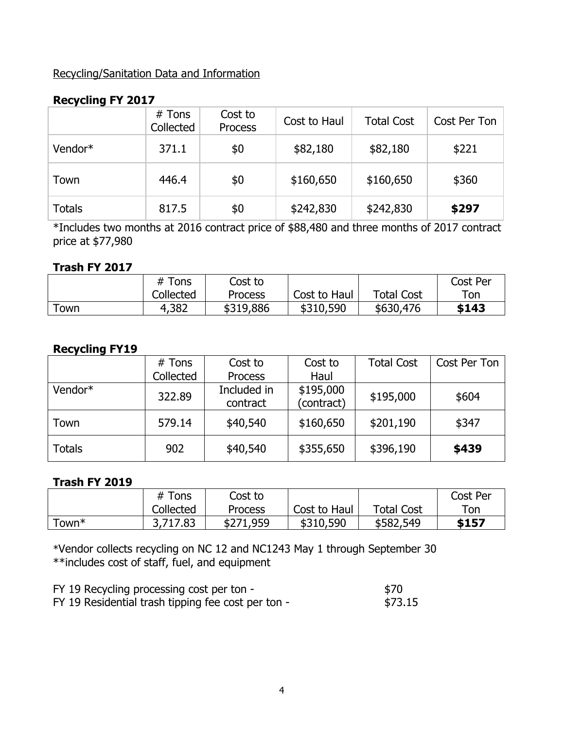## Recycling/Sanitation Data and Information

## **Recycling FY 2017**

|               | $#$ Tons<br>Collected | Cost to<br><b>Process</b> | Cost to Haul | <b>Total Cost</b> | Cost Per Ton |
|---------------|-----------------------|---------------------------|--------------|-------------------|--------------|
| Vendor*       | 371.1                 | \$0                       | \$82,180     | \$82,180          | \$221        |
| Town          | 446.4                 | \$0                       | \$160,650    | \$160,650         | \$360        |
| <b>Totals</b> | 817.5                 | \$0                       | \$242,830    | \$242,830         | \$297        |

\*Includes two months at 2016 contract price of \$88,480 and three months of 2017 contract price at \$77,980

#### **Trash FY 2017**

|     | # Tons    | Cost to   |              |                   | Cost Per  |
|-----|-----------|-----------|--------------|-------------------|-----------|
|     | Collected | Process   | Cost to Haul | <b>Total Cost</b> | $\tau$ on |
| own | 4,382     | \$319,886 | \$310,590    | \$630,476         | \$143     |

### **Recycling FY19**

|               | # Tons    | Cost to                 | Cost to                 | <b>Total Cost</b> | Cost Per Ton |
|---------------|-----------|-------------------------|-------------------------|-------------------|--------------|
|               | Collected | <b>Process</b>          | Haul                    |                   |              |
| Vendor*       | 322.89    | Included in<br>contract | \$195,000<br>(contract) | \$195,000         | \$604        |
| Town          | 579.14    | \$40,540                | \$160,650               | \$201,190         | \$347        |
| <b>Totals</b> | 902       | \$40,540                | \$355,650               | \$396,190         | \$439        |

### **Trash FY 2019**

|       | $#$ Tons  | Cost to   |              |                   | Cost Per |
|-------|-----------|-----------|--------------|-------------------|----------|
|       | Collected | Process   | Cost to Haul | <b>Total Cost</b> | Ton      |
| Town* | 3,717.83  | \$271,959 | \$310,590    | \$582,549         | \$157    |

\*Vendor collects recycling on NC 12 and NC1243 May 1 through September 30 \*\*includes cost of staff, fuel, and equipment

| FY 19 Recycling processing cost per ton -          | \$70    |
|----------------------------------------------------|---------|
| FY 19 Residential trash tipping fee cost per ton - | \$73.15 |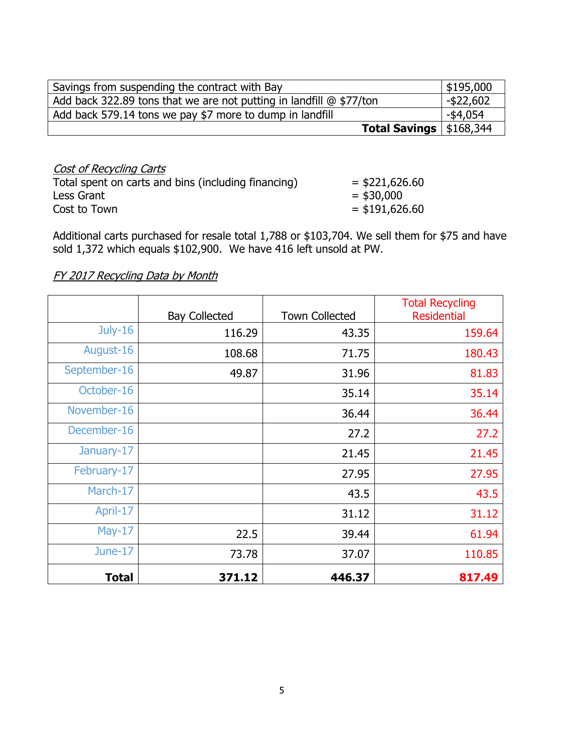| Savings from suspending the contract with Bay                         | \$195,000   |
|-----------------------------------------------------------------------|-------------|
| Add back 322.89 tons that we are not putting in landfill $@$ \$77/ton | -\$22,602   |
| Add back 579.14 tons we pay \$7 more to dump in landfill              | $-$ \$4,054 |
| <b>Total Savings</b> $  $168,344$                                     |             |

| Cost of Recycling Carts                             |                  |
|-----------------------------------------------------|------------------|
| Total spent on carts and bins (including financing) | $=$ \$221,626.60 |
| Less Grant                                          | $=$ \$30,000     |
| Cost to Town                                        | $=$ \$191,626.60 |

Additional carts purchased for resale total 1,788 or \$103,704. We sell them for \$75 and have sold 1,372 which equals \$102,900. We have 416 left unsold at PW.

# FY 2017 Recycling Data by Month

|              | <b>Bay Collected</b> | <b>Town Collected</b> | <b>Total Recycling</b><br><b>Residential</b> |
|--------------|----------------------|-----------------------|----------------------------------------------|
| July-16      | 116.29               | 43.35                 | 159.64                                       |
| August-16    | 108.68               | 71.75                 | 180.43                                       |
| September-16 | 49.87                | 31.96                 | 81.83                                        |
| October-16   |                      | 35.14                 | 35.14                                        |
| November-16  |                      | 36.44                 | 36.44                                        |
| December-16  |                      | 27.2                  | 27.2                                         |
| January-17   |                      | 21.45                 | 21.45                                        |
| February-17  |                      | 27.95                 | 27.95                                        |
| March-17     |                      | 43.5                  | 43.5                                         |
| April-17     |                      | 31.12                 | 31.12                                        |
| $May-17$     | 22.5                 | 39.44                 | 61.94                                        |
| June-17      | 73.78                | 37.07                 | 110.85                                       |
| <b>Total</b> | 371.12               | 446.37                | 817.49                                       |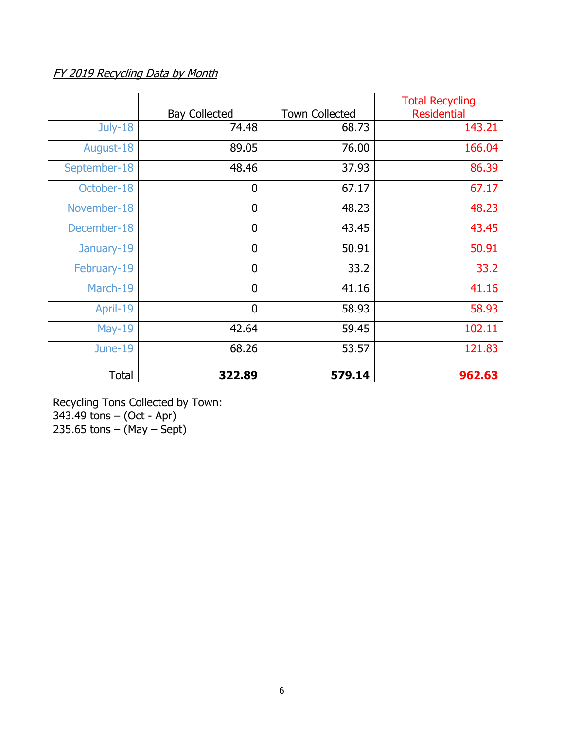# FY 2019 Recycling Data by Month

|              | <b>Bay Collected</b> | <b>Town Collected</b> | <b>Total Recycling</b><br><b>Residential</b> |
|--------------|----------------------|-----------------------|----------------------------------------------|
| July-18      | 74.48                | 68.73                 | 143.21                                       |
| August-18    | 89.05                | 76.00                 | 166.04                                       |
| September-18 | 48.46                | 37.93                 | 86.39                                        |
| October-18   | $\overline{0}$       | 67.17                 | 67.17                                        |
| November-18  | $\mathbf 0$          | 48.23                 | 48.23                                        |
| December-18  | $\overline{0}$       | 43.45                 | 43.45                                        |
| January-19   | $\overline{0}$       | 50.91                 | 50.91                                        |
| February-19  | $\overline{0}$       | 33.2                  | 33.2                                         |
| March-19     | $\overline{0}$       | 41.16                 | 41.16                                        |
| April-19     | $\overline{0}$       | 58.93                 | 58.93                                        |
| $May-19$     | 42.64                | 59.45                 | 102.11                                       |
| June-19      | 68.26                | 53.57                 | 121.83                                       |
| <b>Total</b> | 322.89               | 579.14                | 962.63                                       |

Recycling Tons Collected by Town: 343.49 tons – (Oct - Apr) 235.65 tons – (May – Sept)